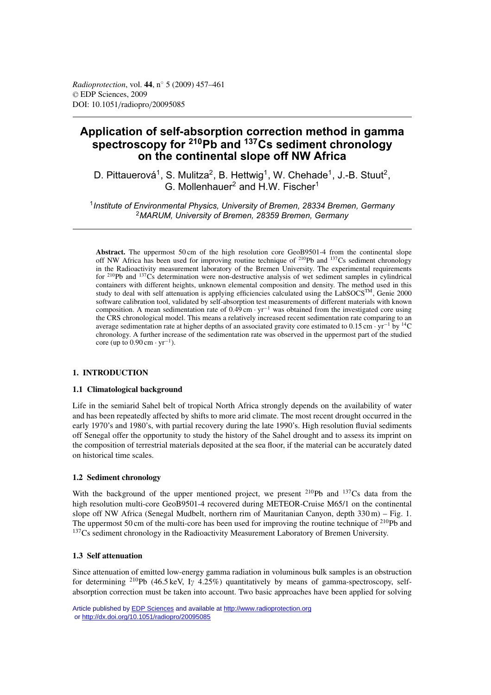# **Application of self-absorption correction method in gamma spectroscopy for 210Pb and 137Cs sediment chronology on the continental slope off NW Africa**

D. Pittauerová<sup>1</sup>, S. Mulitza<sup>2</sup>, B. Hettwig<sup>1</sup>, W. Chehade<sup>1</sup>, J.-B. Stuut<sup>2</sup>, G. Mollenhauer<sup>2</sup> and H.W. Fischer<sup>1</sup>

<sup>1</sup>*Institute of Environmental Physics, University of Bremen, 28334 Bremen, Germany* <sup>2</sup>*MARUM, University of Bremen, 28359 Bremen, Germany*

**Abstract.** The uppermost 50 cm of the high resolution core GeoB9501-4 from the continental slope off NW Africa has been used for improving routine technique of 210Pb and 137Cs sediment chronology in the Radioactivity measurement laboratory of the Bremen University. The experimental requirements for 210Pb and 137Cs determination were non-destructive analysis of wet sediment samples in cylindrical containers with different heights, unknown elemental composition and density. The method used in this study to deal with self attenuation is applying efficiencies calculated using the LabSOCS<sup>TM</sup>, Genie 2000 software calibration tool, validated by self-absorption test measurements of different materials with known composition. A mean sedimentation rate of 0.49 cm · yr−<sup>1</sup> was obtained from the investigated core using the CRS chronological model. This means a relatively increased recent sedimentation rate comparing to an average sedimentation rate at higher depths of an associated gravity core estimated to 0.15 cm ·  $yr^{-1}$  by <sup>14</sup>C chronology. A further increase of the sedimentation rate was observed in the uppermost part of the studied core (up to  $0.90 \text{ cm} \cdot \text{yr}^{-1}$ ).

## **1. INTRODUCTION**

## **1.1 Climatological background**

Life in the semiarid Sahel belt of tropical North Africa strongly depends on the availability of water and has been repeatedly affected by shifts to more arid climate. The most recent drought occurred in the early 1970's and 1980's, with partial recovery during the late 1990's. High resolution fluvial sediments off Senegal offer the opportunity to study the history of the Sahel drought and to assess its imprint on the composition of terrestrial materials deposited at the sea floor, if the material can be accurately dated on historical time scales.

## **1.2 Sediment chronology**

With the background of the upper mentioned project, we present  $^{210}Pb$  and  $^{137}Cs$  data from the high resolution multi-core GeoB9501-4 recovered during METEOR-Cruise M65/1 on the continental slope off NW Africa (Senegal Mudbelt, northern rim of Mauritanian Canyon, depth 330 m) – Fig. 1. The uppermost 50 cm of the multi-core has been used for improving the routine technique of <sup>210</sup>Pb and <sup>137</sup>Cs sediment chronology in the Radioactivity Measurement Laboratory of Bremen University.

## **1.3 Self attenuation**

Since attenuation of emitted low-energy gamma radiation in voluminous bulk samples is an obstruction for determining <sup>210</sup>Pb (46.5 keV, I<sub>Y</sub> 4.25%) quantitatively by means of gamma-spectroscopy, selfabsorption correction must be taken into account. Two basic approaches have been applied for solving

Article published by **EDP Sciences** and available at<http://www.radioprotection.org> or <http://dx.doi.org/10.1051/radiopro/20095085>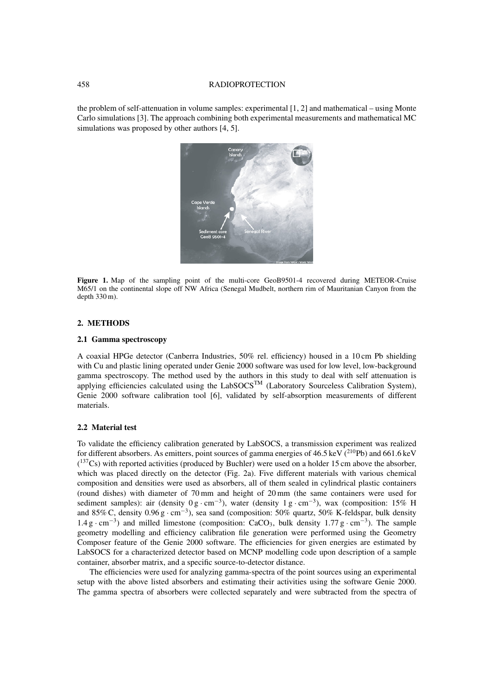#### 458 RADIOPROTECTION

the problem of self-attenuation in volume samples: experimental [1, 2] and mathematical – using Monte Carlo simulations [3]. The approach combining both experimental measurements and mathematical MC simulations was proposed by other authors [4, 5].



Figure 1. Map of the sampling point of the multi-core GeoB9501-4 recovered during METEOR-Cruise M65/1 on the continental slope off NW Africa (Senegal Mudbelt, northern rim of Mauritanian Canyon from the depth 330 m).

## **2. METHODS**

#### **2.1 Gamma spectroscopy**

A coaxial HPGe detector (Canberra Industries, 50% rel. efficiency) housed in a 10 cm Pb shielding with Cu and plastic lining operated under Genie 2000 software was used for low level, low-background gamma spectroscopy. The method used by the authors in this study to deal with self attenuation is applying efficiencies calculated using the  $LabSCCS<sup>TM</sup>$  (Laboratory Sourceless Calibration System), Genie 2000 software calibration tool [6], validated by self-absorption measurements of different materials.

#### **2.2 Material test**

To validate the efficiency calibration generated by LabSOCS, a transmission experiment was realized for different absorbers. As emitters, point sources of gamma energies of  $46.5 \,\text{keV}$  ( $^{210}\text{Pb}$ ) and  $661.6 \,\text{keV}$  $(^{137}Cs)$  with reported activities (produced by Buchler) were used on a holder 15 cm above the absorber, which was placed directly on the detector (Fig. 2a). Five different materials with various chemical composition and densities were used as absorbers, all of them sealed in cylindrical plastic containers (round dishes) with diameter of 70 mm and height of 20 mm (the same containers were used for sediment samples): air (density  $0 \text{ g} \cdot \text{cm}^{-3}$ ), water (density  $1 \text{ g} \cdot \text{cm}^{-3}$ ), wax (composition: 15% H and 85% C, density 0.96 g · cm−3), sea sand (composition: 50% quartz, 50% K-feldspar, bulk density  $1.4 \text{ g} \cdot \text{cm}^{-3}$ ) and milled limestone (composition: CaCO<sub>3</sub>, bulk density  $1.77 \text{ g} \cdot \text{cm}^{-3}$ ). The sample geometry modelling and efficiency calibration file generation were performed using the Geometry Composer feature of the Genie 2000 software. The efficiencies for given energies are estimated by LabSOCS for a characterized detector based on MCNP modelling code upon description of a sample container, absorber matrix, and a specific source-to-detector distance.

The efficiencies were used for analyzing gamma-spectra of the point sources using an experimental setup with the above listed absorbers and estimating their activities using the software Genie 2000. The gamma spectra of absorbers were collected separately and were subtracted from the spectra of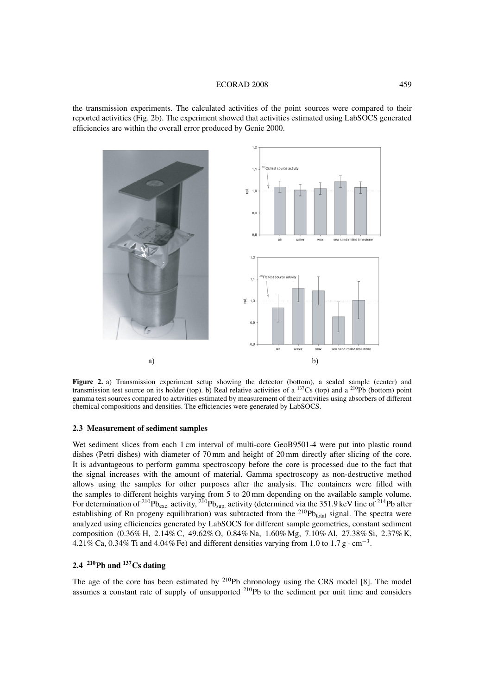#### ECORAD 2008 459

the transmission experiments. The calculated activities of the point sources were compared to their reported activities (Fig. 2b). The experiment showed that activities estimated using LabSOCS generated efficiencies are within the overall error produced by Genie 2000.



**Figure 2.** a) Transmission experiment setup showing the detector (bottom), a sealed sample (center) and transmission test source on its holder (top). b) Real relative activities of a  $^{137}Cs$  (top) and a  $^{210}Pb$  (bottom) point gamma test sources compared to activities estimated by measurement of their activities using absorbers of different chemical compositions and densities. The efficiencies were generated by LabSOCS.

#### **2.3 Measurement of sediment samples**

Wet sediment slices from each 1 cm interval of multi-core GeoB9501-4 were put into plastic round dishes (Petri dishes) with diameter of 70 mm and height of 20 mm directly after slicing of the core. It is advantageous to perform gamma spectroscopy before the core is processed due to the fact that the signal increases with the amount of material. Gamma spectroscopy as non-destructive method allows using the samples for other purposes after the analysis. The containers were filled with the samples to different heights varying from 5 to 20 mm depending on the available sample volume. For determination of <sup>210</sup>Pb<sub>exc.</sub> activity, <sup>210</sup>Pb<sub>sup.</sub> activity (determined via the 351.9 keV line of <sup>214</sup>Pb after establishing of Rn progeny equilibration) was subtracted from the  $^{210}Pb_{total}$  signal. The spectra were analyzed using efficiencies generated by LabSOCS for different sample geometries, constant sediment composition (0.36% H, 2.14% C, 49.62% O, 0.84% Na, 1.60% Mg, 7.10% Al, 27.38% Si, 2.37% K, 4.21% Ca, 0.34% Ti and 4.04% Fe) and different densities varying from 1.0 to 1.7 g  $\cdot$  cm<sup>-3</sup>.

## **2.4 210Pb and 137Cs dating**

The age of the core has been estimated by <sup>210</sup>Pb chronology using the CRS model [8]. The model assumes a constant rate of supply of unsupported 210Pb to the sediment per unit time and considers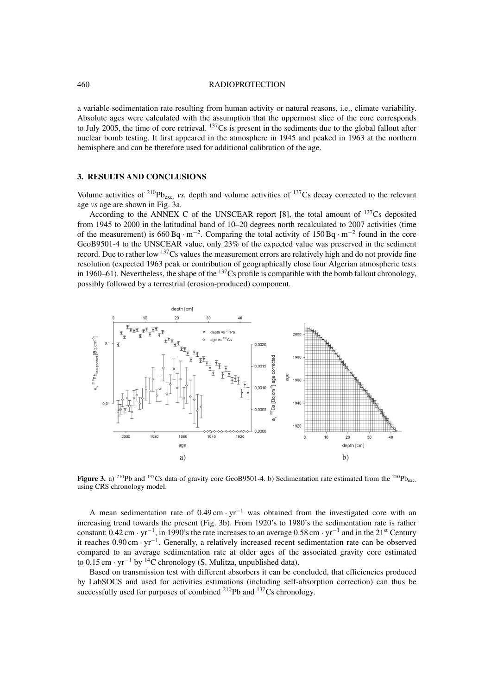#### 460 RADIOPROTECTION

a variable sedimentation rate resulting from human activity or natural reasons, i.e., climate variability. Absolute ages were calculated with the assumption that the uppermost slice of the core corresponds to July 2005, the time of core retrieval.  $137Cs$  is present in the sediments due to the global fallout after nuclear bomb testing. It first appeared in the atmosphere in 1945 and peaked in 1963 at the northern hemisphere and can be therefore used for additional calibration of the age.

## **3. RESULTS AND CONCLUSIONS**

Volume activities of  $^{210}Pb_{\text{exc}}$  *vs.* depth and volume activities of  $^{137}Cs$  decay corrected to the relevant age *vs* age are shown in Fig. 3a.

According to the ANNEX C of the UNSCEAR report [8], the total amount of  $137$ Cs deposited from 1945 to 2000 in the latitudinal band of 10–20 degrees north recalculated to 2007 activities (time of the measurement) is  $660 \text{Bg} \cdot \text{m}^{-2}$ . Comparing the total activity of 150 Bq  $\cdot \text{m}^{-2}$  found in the core GeoB9501-4 to the UNSCEAR value, only 23% of the expected value was preserved in the sediment record. Due to rather low <sup>137</sup>Cs values the measurement errors are relatively high and do not provide fine resolution (expected 1963 peak or contribution of geographically close four Algerian atmospheric tests in 1960–61). Nevertheless, the shape of the  $^{137}Cs$  profile is compatible with the bomb fallout chronology, possibly followed by a terrestrial (erosion-produced) component.



**Figure 3.** a) <sup>210</sup>Pb and <sup>137</sup>Cs data of gravity core GeoB9501-4. b) Sedimentation rate estimated from the <sup>210</sup>Pb<sub>exc</sub>. using CRS chronology model.

A mean sedimentation rate of 0.49 cm · yr−<sup>1</sup> was obtained from the investigated core with an increasing trend towards the present (Fig. 3b). From 1920's to 1980's the sedimentation rate is rather constant: 0.42 cm · yr−1, in 1990's the rate increases to an average 0.58 cm · yr−<sup>1</sup> and in the 21st Century it reaches 0.90 cm · yr−1. Generally, a relatively increased recent sedimentation rate can be observed compared to an average sedimentation rate at older ages of the associated gravity core estimated to 0.15 cm · yr−<sup>1</sup> by 14C chronology (S. Mulitza, unpublished data).

Based on transmission test with different absorbers it can be concluded, that efficiencies produced by LabSOCS and used for activities estimations (including self-absorption correction) can thus be successfully used for purposes of combined <sup>210</sup>Pb and <sup>137</sup>Cs chronology.